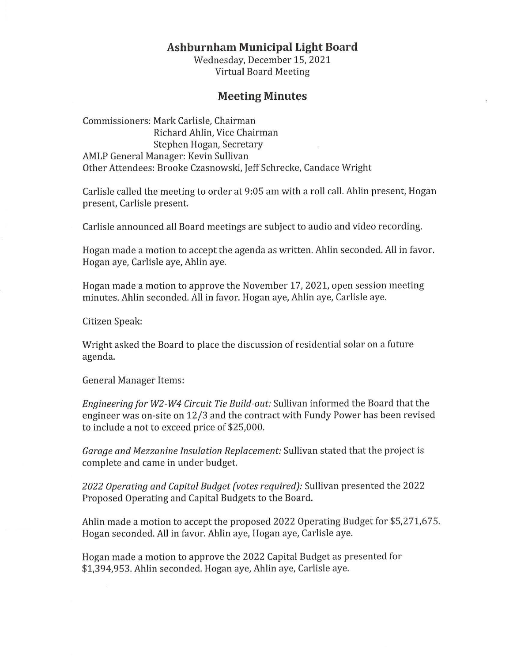## **Ashburnham Municipal Light Board**

Wednesday, December 15, 2021 Virtual Board Meeting

## **Meeting Minutes**

Commissioners: Mark Carlisle, Chairman Richard Ahlin, Vice Chairman Stephen Hogan, Secretary AMLP General Manager: Kevin Sullivan Other Attendees: Brooke Czasnowski, Jeff Schrecke, Candace Wright

Carlisle called the meeting to order at 9:05 am with a roll call. Ahlin present, Hogan present, Carlisle present.

Carlisle announced all Board meetings are subject to audio and video recording.

Hogan made a motion to accept the agenda as written. Ahlin seconded. All in favor. Hogan aye, Carlisle aye, Ahlin aye.

Hogan made a motion to approve the November 17, 2021, open session meeting minutes. Ahlin seconded. All in favor. Hogan aye, Ahlin aye, Carlisle aye.

Citizen Speak:

Wright asked the Board to place the discussion of residential solar on a future agenda.

General Manager Items:

*Engineering for W2-W4 Circuit Tie Build-out:* Sullivan informed the Board that the engineer was on-site on 12/3 and the contract with Fundy Power has been revised to include a not to exceed price of \$25,000.

*Garage and Mezzanine Insulation Replacement:* Sullivan stated that the project is complete and came in under budget.

*2022 Operating and Capital Budget (votes required):* Sullivan presented the 2022 Proposed Operating and Capital Budgets to the Board.

Ahlin made a motion to accept the proposed 2022 Operating Budget for \$5,271,675. Hogan seconded. All in favor. Ahlin aye, Hogan aye, Carlisle aye.

Hogan made a motion to approve the 2022 Capital Budget as presented for \$1,394,953. Ahlin seconded. Hogan aye, Ahlin aye, Carlisle aye.